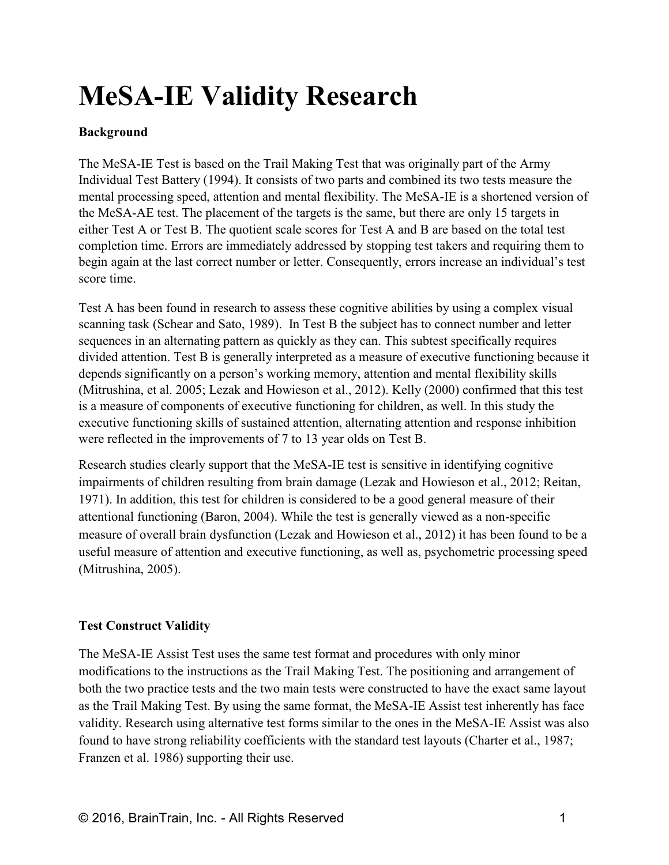# **MeSA-IE Validity Research**

## **Background**

The MeSA-IE Test is based on the Trail Making Test that was originally part of the Army Individual Test Battery (1994). It consists of two parts and combined its two tests measure the mental processing speed, attention and mental flexibility. The MeSA-IE is a shortened version of the MeSA-AE test. The placement of the targets is the same, but there are only 15 targets in either Test A or Test B. The quotient scale scores for Test A and B are based on the total test completion time. Errors are immediately addressed by stopping test takers and requiring them to begin again at the last correct number or letter. Consequently, errors increase an individual's test score time.

Test A has been found in research to assess these cognitive abilities by using a complex visual scanning task (Schear and Sato, 1989). In Test B the subject has to connect number and letter sequences in an alternating pattern as quickly as they can. This subtest specifically requires divided attention. Test B is generally interpreted as a measure of executive functioning because it depends significantly on a person's working memory, attention and mental flexibility skills (Mitrushina, et al. 2005; Lezak and Howieson et al., 2012). Kelly (2000) confirmed that this test is a measure of components of executive functioning for children, as well. In this study the executive functioning skills of sustained attention, alternating attention and response inhibition were reflected in the improvements of 7 to 13 year olds on Test B.

Research studies clearly support that the MeSA-IE test is sensitive in identifying cognitive impairments of children resulting from brain damage (Lezak and Howieson et al., 2012; Reitan, 1971). In addition, this test for children is considered to be a good general measure of their attentional functioning (Baron, 2004). While the test is generally viewed as a non-specific measure of overall brain dysfunction (Lezak and Howieson et al., 2012) it has been found to be a useful measure of attention and executive functioning, as well as, psychometric processing speed (Mitrushina, 2005).

## **Test Construct Validity**

The MeSA-IE Assist Test uses the same test format and procedures with only minor modifications to the instructions as the Trail Making Test. The positioning and arrangement of both the two practice tests and the two main tests were constructed to have the exact same layout as the Trail Making Test. By using the same format, the MeSA-IE Assist test inherently has face validity. Research using alternative test forms similar to the ones in the MeSA-IE Assist was also found to have strong reliability coefficients with the standard test layouts (Charter et al., 1987; Franzen et al. 1986) supporting their use.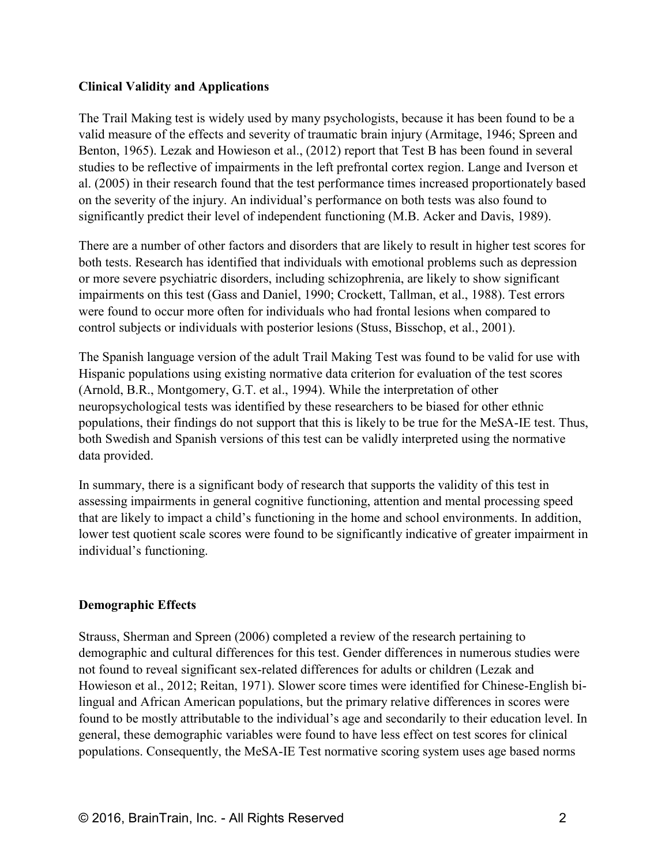### **Clinical Validity and Applications**

The Trail Making test is widely used by many psychologists, because it has been found to be a valid measure of the effects and severity of traumatic brain injury (Armitage, 1946; Spreen and Benton, 1965). Lezak and Howieson et al., (2012) report that Test B has been found in several studies to be reflective of impairments in the left prefrontal cortex region. Lange and Iverson et al. (2005) in their research found that the test performance times increased proportionately based on the severity of the injury. An individual's performance on both tests was also found to significantly predict their level of independent functioning (M.B. Acker and Davis, 1989).

There are a number of other factors and disorders that are likely to result in higher test scores for both tests. Research has identified that individuals with emotional problems such as depression or more severe psychiatric disorders, including schizophrenia, are likely to show significant impairments on this test (Gass and Daniel, 1990; Crockett, Tallman, et al., 1988). Test errors were found to occur more often for individuals who had frontal lesions when compared to control subjects or individuals with posterior lesions (Stuss, Bisschop, et al., 2001).

The Spanish language version of the adult Trail Making Test was found to be valid for use with Hispanic populations using existing normative data criterion for evaluation of the test scores (Arnold, B.R., Montgomery, G.T. et al., 1994). While the interpretation of other neuropsychological tests was identified by these researchers to be biased for other ethnic populations, their findings do not support that this is likely to be true for the MeSA-IE test. Thus, both Swedish and Spanish versions of this test can be validly interpreted using the normative data provided.

In summary, there is a significant body of research that supports the validity of this test in assessing impairments in general cognitive functioning, attention and mental processing speed that are likely to impact a child's functioning in the home and school environments. In addition, lower test quotient scale scores were found to be significantly indicative of greater impairment in individual's functioning.

#### **Demographic Effects**

Strauss, Sherman and Spreen (2006) completed a review of the research pertaining to demographic and cultural differences for this test. Gender differences in numerous studies were not found to reveal significant sex-related differences for adults or children (Lezak and Howieson et al., 2012; Reitan, 1971). Slower score times were identified for Chinese-English bilingual and African American populations, but the primary relative differences in scores were found to be mostly attributable to the individual's age and secondarily to their education level. In general, these demographic variables were found to have less effect on test scores for clinical populations. Consequently, the MeSA-IE Test normative scoring system uses age based norms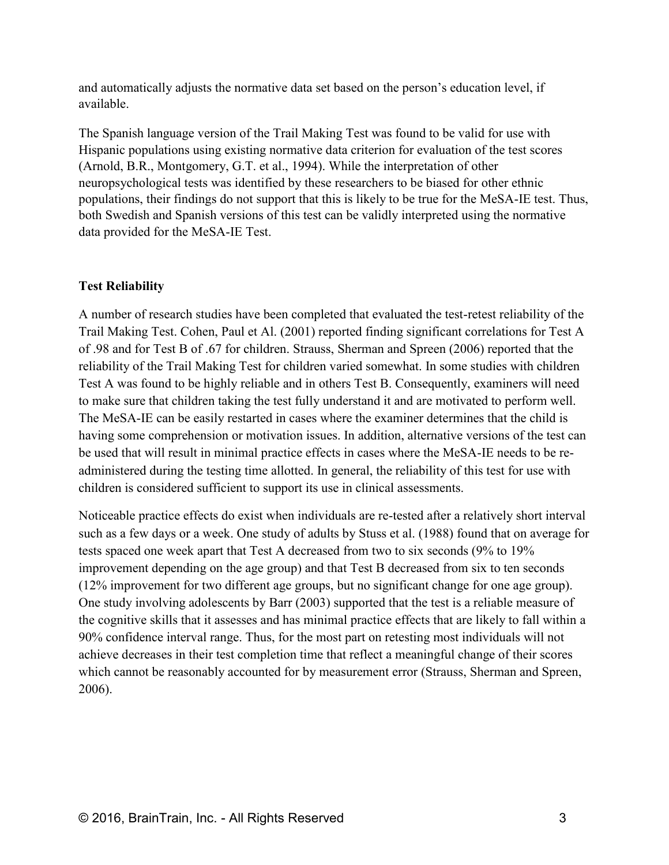and automatically adjusts the normative data set based on the person's education level, if available.

The Spanish language version of the Trail Making Test was found to be valid for use with Hispanic populations using existing normative data criterion for evaluation of the test scores (Arnold, B.R., Montgomery, G.T. et al., 1994). While the interpretation of other neuropsychological tests was identified by these researchers to be biased for other ethnic populations, their findings do not support that this is likely to be true for the MeSA-IE test. Thus, both Swedish and Spanish versions of this test can be validly interpreted using the normative data provided for the MeSA-IE Test.

## **Test Reliability**

A number of research studies have been completed that evaluated the test-retest reliability of the Trail Making Test. Cohen, Paul et Al. (2001) reported finding significant correlations for Test A of .98 and for Test B of .67 for children. Strauss, Sherman and Spreen (2006) reported that the reliability of the Trail Making Test for children varied somewhat. In some studies with children Test A was found to be highly reliable and in others Test B. Consequently, examiners will need to make sure that children taking the test fully understand it and are motivated to perform well. The MeSA-IE can be easily restarted in cases where the examiner determines that the child is having some comprehension or motivation issues. In addition, alternative versions of the test can be used that will result in minimal practice effects in cases where the MeSA-IE needs to be readministered during the testing time allotted. In general, the reliability of this test for use with children is considered sufficient to support its use in clinical assessments.

Noticeable practice effects do exist when individuals are re-tested after a relatively short interval such as a few days or a week. One study of adults by Stuss et al. (1988) found that on average for tests spaced one week apart that Test A decreased from two to six seconds (9% to 19% improvement depending on the age group) and that Test B decreased from six to ten seconds (12% improvement for two different age groups, but no significant change for one age group). One study involving adolescents by Barr (2003) supported that the test is a reliable measure of the cognitive skills that it assesses and has minimal practice effects that are likely to fall within a 90% confidence interval range. Thus, for the most part on retesting most individuals will not achieve decreases in their test completion time that reflect a meaningful change of their scores which cannot be reasonably accounted for by measurement error (Strauss, Sherman and Spreen, 2006).